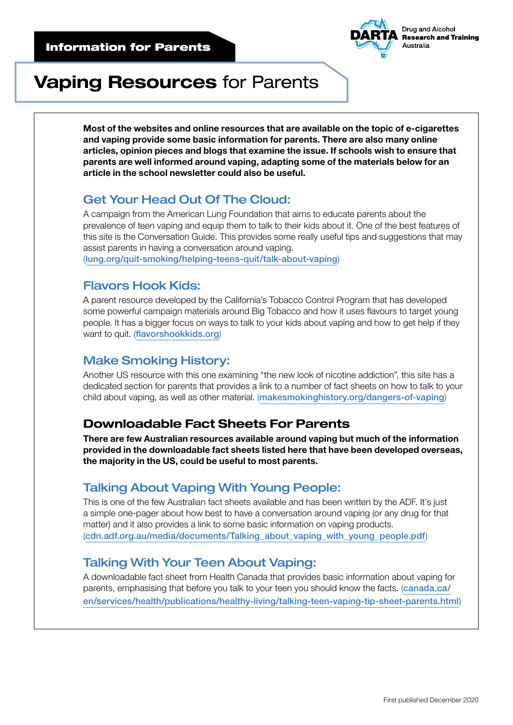

# Vaping Resources for Parents

Most of the websites and online resources that are available on the topic of e-cigarettes and vaping provide some basic information for parents. There are also many online articles, opinion pieces and blogs that examine the issue. If schools wish to ensure that parents are well informed around vaping, adapting some of the materials below for an article in the school newsletter could also be useful.

## Get Your Head Out Of The Cloud:

A campaign from the American Lung Foundation that aims to educate parents about the prevalence of teen vaping and equip them to talk to their kids about it. One of the best features of this site is the Conversation Guide. This provides some really useful tips and suggestions that may assist parents in having a conversation around vaping. ([lung.org/quit-smoking/helping-teens-quit/talk-about-vaping](http://www.lung.org/quit-smoking/helping-teens-quit/talk-about-vaping)[\)](https://www.lung.org/quit-smoking/helping-teens-quit/talk-about-vaping?utm_source=TalkAboutVaping.org&utm_medium=redirect&utm_campaign=AC_YVAP&utm_content=BRND_PSAC_EN_VanityURL)

## Flavors Hook Kids:

A parent resource developed by the California's Tobacco Control Program that has developed some powerful campaign materials around Big Tobacco and how it uses flavours to target young people. It has a bigger focus on ways to talk to your kids about vaping and how to get help if they want to quit. ([flavorshookkids.org](http://www.flavorshookkids.org))

## Make Smoking History:

Another US resource with this one examining "the new look of nicotine addiction", this site has a dedicated section for parents that provides a link to a number of fact sheets on how to talk to your child about vaping, as well as other material. ([makesmokinghistory.org/dangers-of-vaping](http://makesmokinghistory.org/dangers-of-vaping/))

## Downloadable Fact Sheets For Parents

There are few Australian resources available around vaping but much of the information provided in the downloadable fact sheets listed here that have been developed overseas, the majority in the US, could be useful to most parents.

## Talking About Vaping With Young People:

This is one of the few Australian fact sheets available and has been written by the ADF. It's just a simple one-pager about how best to have a conversation around vaping (or any drug for that matter) and it also provides a link to some basic information on vaping products. ([cdn.adf.org.au/media/documents/Talking\\_about\\_vaping\\_with\\_young\\_people.pdf](https://cdn.adf.org.au/media/documents/Talking_about_vaping_with_young_people.pdf))

## Talking With Your Teen About Vaping:

A downloadable fact sheet from Health Canada that provides basic information about vaping for parents, emphasising that before you talk to your teen you should know the facts. ([canada.ca/](https://www.canada.ca/en/services/health/publications/healthy-living/talking-teen-vaping-tip-sheet-parents.html) [en/services/health/publications/healthy-living/talking-teen-vaping-tip-sheet-parents.html](https://www.canada.ca/en/services/health/publications/healthy-living/talking-teen-vaping-tip-sheet-parents.html))